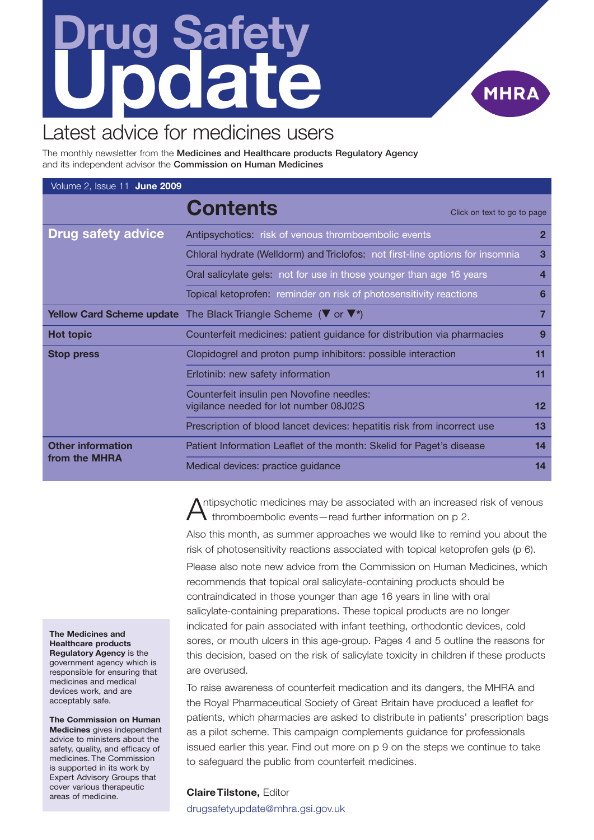# <span id="page-0-0"></span>**Drug Safety Update**



## Latest advice for medicines users

The monthly newsletter from the **Medicines and Healthcare products Regulatory Agency** and its independent advisor the **Commission on Human Medicines**

| Volume 2, Issue 11 June 2009              |                                                                                                               |                         |
|-------------------------------------------|---------------------------------------------------------------------------------------------------------------|-------------------------|
|                                           | <b>Contents</b><br>Click on text to go to page                                                                |                         |
| <b>Drug safety advice</b>                 | Antipsychotics: risk of venous thromboembolic events                                                          | $\mathbf{2}$            |
|                                           | Chloral hydrate (Welldorm) and Triclofos: not first-line options for insomnia                                 | $\overline{\mathbf{3}}$ |
|                                           | Oral salicylate gels: not for use in those younger than age 16 years                                          | 4                       |
|                                           | Topical ketoprofen: reminder on risk of photosensitivity reactions                                            | 6                       |
|                                           | <b>Yellow Card Scheme update</b> The Black Triangle Scheme ( $\blacktriangledown$ or $\blacktriangledown^*$ ) | 7                       |
| <b>Hot topic</b>                          | Counterfeit medicines: patient guidance for distribution via pharmacies                                       | 9                       |
| <b>Stop press</b>                         | Clopidogrel and proton pump inhibitors: possible interaction                                                  | 11                      |
|                                           | Erlotinib: new safety information                                                                             | 11                      |
|                                           | Counterfeit insulin pen Novofine needles:<br>vigilance needed for lot number 08J02S                           | 12                      |
|                                           | Prescription of blood lancet devices: hepatitis risk from incorrect use                                       | 13                      |
| <b>Other information</b><br>from the MHRA | Patient Information Leaflet of the month: Skelid for Paget's disease                                          | 14                      |
|                                           | Medical devices: practice guidance                                                                            | 14                      |

ntipsychotic medicines may be associated with an increased risk of venous  $\bigwedge$  thromboembolic events—read further information on p 2.

Also this month, as summer approaches we would like to remind you about the risk of photosensitivity reactions associated with topical ketoprofen gels (p 6).

Please also note new advice from the Commission on Human Medicines, which recommends that topical oral salicylate-containing products should be contraindicated in those younger than age 16 years in line with oral salicylate-containing preparations. These topical products are no longer indicated for pain associated with infant teething, orthodontic devices, cold sores, or mouth ulcers in this age-group. Pages 4 and 5 outline the reasons for this decision, based on the risk of salicylate toxicity in children if these products are overused.

To raise awareness of counterfeit medication and its dangers, the MHRA and the Royal Pharmaceutical Society of Great Britain have produced a leaflet for patients, which pharmacies are asked to distribute in patients' prescription bags as a pilot scheme. This campaign complements guidance for professionals issued earlier this year. Find out more on p 9 on the steps we continue to take to safeguard the public from counterfeit medicines.

### **ClaireTilstone,** Editor

drugsafetyupdate@mhra.gsi.gov.uk

**The Medicines and Healthcare products Regulatory Agency** is the government agency which is responsible for ensuring that medicines and medical devices work, and are acceptably safe.

**The Commission on Human Medicines** gives independent advice to ministers about the safety, quality, and efficacy of medicines. The Commission is supported in its work by Expert Advisory Groups that cover various therapeutic areas of medicine.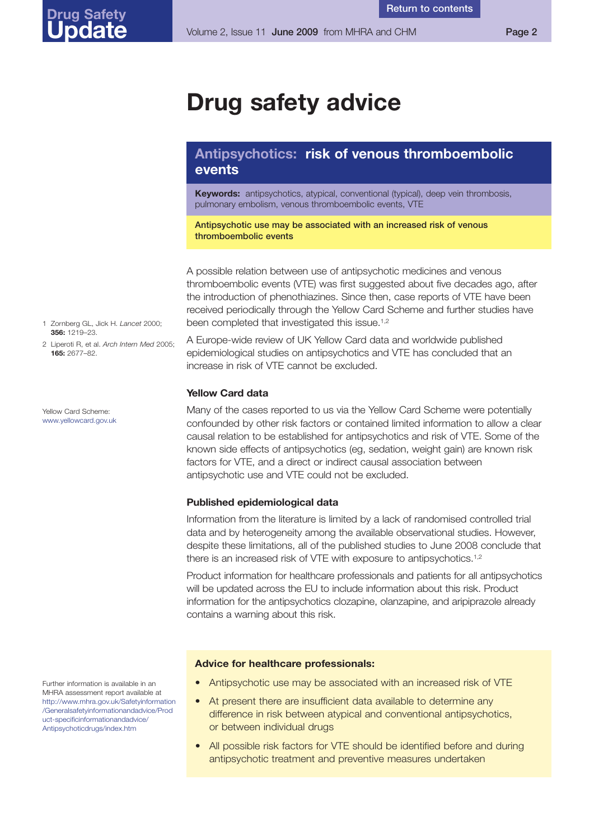## <span id="page-1-0"></span>**Drug safety advice**

### **Antipsychotics: risk of venous thromboembolic events**

**Keywords:** antipsychotics, atypical, conventional (typical), deep vein thrombosis, pulmonary embolism, venous thromboembolic events, VTE

**Antipsychotic use may be associated with an increased risk of venous thromboembolic events**

A possible relation between use of antipsychotic medicines and venous thromboembolic events (VTE) was first suggested about five decades ago, after the introduction of phenothiazines. Since then, case reports of VTE have been received periodically through the Yellow Card Scheme and further studies have been completed that investigated this issue.<sup>1,2</sup>

A Europe-wide review of UK Yellow Card data and worldwide published epidemiological studies on antipsychotics and VTE has concluded that an increase in risk of VTE cannot be excluded.

### **Yellow Card data**

Many of the cases reported to us via the Yellow Card Scheme were potentially confounded by other risk factors or contained limited information to allow a clear causal relation to be established for antipsychotics and risk of VTE. Some of the known side effects of antipsychotics (eg, sedation, weight gain) are known risk factors for VTE, and a direct or indirect causal association between antipsychotic use and VTE could not be excluded.

### **Published epidemiological data**

Information from the literature is limited by a lack of randomised controlled trial data and by heterogeneity among the available observational studies. However, despite these limitations, all of the published studies to June 2008 conclude that there is an increased risk of VTE with exposure to antipsychotics.<sup>1,2</sup>

Product information for healthcare professionals and patients for all antipsychotics will be updated across the EU to include information about this risk. Product information for the antipsychotics clozapine, olanzapine, and aripiprazole already contains a warning about this risk.

### **Advice for healthcare professionals:**

- Antipsychotic use may be associated with an increased risk of VTE
- At present there are insufficient data available to determine any difference in risk between atypical and conventional antipsychotics, or between individual drugs
- All possible risk factors for VTE should be identified before and during antipsychotic treatment and preventive measures undertaken
- 1 Zornberg GL, Jick H. *Lancet* 2000; **356:** 1219–23.
- 2 Liperoti R, et al. *Arch Intern Med* 2005; **165:** 2677–82.

Yellow Card Scheme: <www.yellowcard.gov.uk>

Further information is available in an MHRA assessment report available at [http://www.mhra.gov.uk/Safetyinformation](http://www.mhra.gov.uk/Safetyinformation/Generalsafetyinformationandadvice/Product-specificinformationandadvice/Antipsychoticdrugs/index.htm) /Generalsafetyinformationandadvice/Prod uct-specificinformationandadvice/ Antipsychoticdrugs/index.htm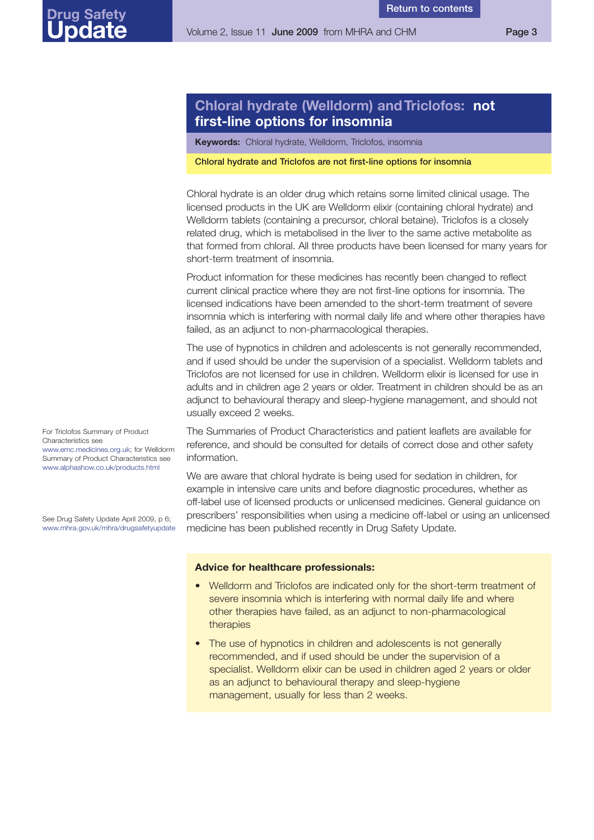**Return to [contents](#page-0-0)**

### <span id="page-2-0"></span>**Chloral hydrate (Welldorm) andTriclofos: not first-line options for insomnia**

**Keywords:** Chloral hydrate, Welldorm, Triclofos, insomnia

### **Chloral hydrate and Triclofos are not first-line options for insomnia**

Chloral hydrate is an older drug which retains some limited clinical usage. The licensed products in the UK are Welldorm elixir (containing chloral hydrate) and Welldorm tablets (containing a precursor, chloral betaine). Triclofos is a closely related drug, which is metabolised in the liver to the same active metabolite as that formed from chloral. All three products have been licensed for many years for short-term treatment of insomnia.

Product information for these medicines has recently been changed to reflect current clinical practice where they are not first-line options for insomnia. The licensed indications have been amended to the short-term treatment of severe insomnia which is interfering with normal daily life and where other therapies have failed, as an adjunct to non-pharmacological therapies.

The use of hypnotics in children and adolescents is not generally recommended, and if used should be under the supervision of a specialist. Welldorm tablets and Triclofos are not licensed for use in children. Welldorm elixir is licensed for use in adults and in children age 2 years or older. Treatment in children should be as an adjunct to behavioural therapy and sleep-hygiene management, and should not usually exceed 2 weeks.

The Summaries of Product Characteristics and patient leaflets are available for reference, and should be consulted for details of correct dose and other safety information.

We are aware that chloral hydrate is being used for sedation in children, for example in intensive care units and before diagnostic procedures, whether as off-label use of licensed products or unlicensed medicines. General guidance on prescribers' responsibilities when using a medicine off-label or using an unlicensed medicine has been published recently in Drug Safety Update.

### **Advice for healthcare professionals:**

- Welldorm and Triclofos are indicated only for the short-term treatment of severe insomnia which is interfering with normal daily life and where other therapies have failed, as an adjunct to non-pharmacological therapies
- The use of hypnotics in children and adolescents is not generally recommended, and if used should be under the supervision of a specialist. Welldorm elixir can be used in children aged 2 years or older as an adjunct to behavioural therapy and sleep-hygiene management, usually for less than 2 weeks.

For Triclofos Summary of Product Characteristics see [www.emc.medicines.org.uk;](www.emc.medicines.org.uk) for Welldorm Summary of Product Characteristics see <www.alphashow.co.uk/products.html>

See Drug Safety Update April 2009, p 6; <www.mhra.gov.uk/mhra/drugsafetyupdate>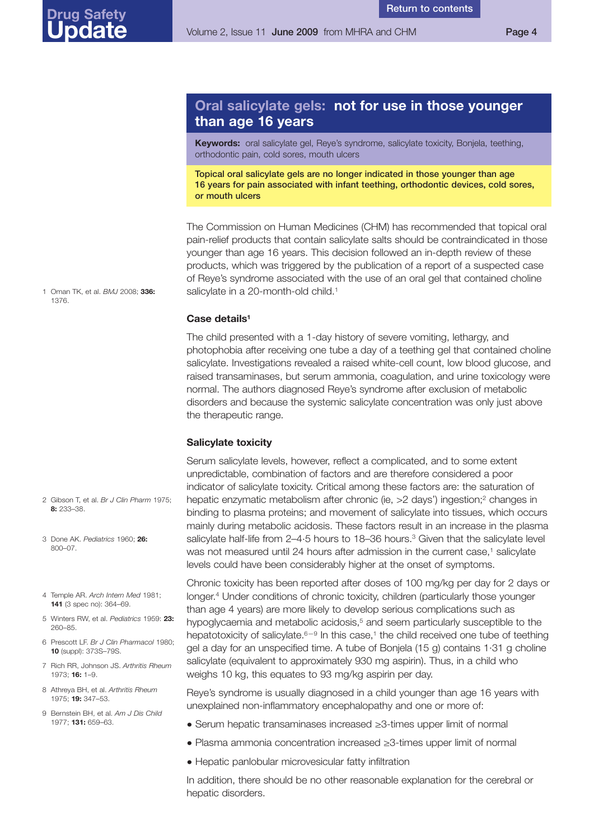### <span id="page-3-0"></span>**Oral salicylate gels: not for use in those younger than age 16 years**

**Return to [contents](#page-0-0)**

**Keywords:** oral salicylate gel, Reye's syndrome, salicylate toxicity, Bonjela, teething, orthodontic pain, cold sores, mouth ulcers

**Topical oral salicylate gels are no longer indicated in those younger than age 16 years for pain associated with infant teething, orthodontic devices, cold sores, or mouth ulcers**

The Commission on Human Medicines (CHM) has recommended that topical oral pain-relief products that contain salicylate salts should be contraindicated in those younger than age 16 years. This decision followed an in-depth review of these products, which was triggered by the publication of a report of a suspected case of Reye's syndrome associated with the use of an oral gel that contained choline salicylate in a 20-month-old child.<sup>1</sup>

**Case details1**

The child presented with a 1-day history of severe vomiting, lethargy, and photophobia after receiving one tube a day of a teething gel that contained choline salicylate. Investigations revealed a raised white-cell count, low blood glucose, and raised transaminases, but serum ammonia, coagulation, and urine toxicology were normal. The authors diagnosed Reye's syndrome after exclusion of metabolic disorders and because the systemic salicylate concentration was only just above the therapeutic range.

### **Salicylate toxicity**

Serum salicylate levels, however, reflect a complicated, and to some extent unpredictable, combination of factors and are therefore considered a poor indicator of salicylate toxicity. Critical among these factors are: the saturation of hepatic enzymatic metabolism after chronic (ie, >2 days') ingestion; <sup>2</sup> changes in binding to plasma proteins; and movement of salicylate into tissues, which occurs mainly during metabolic acidosis. These factors result in an increase in the plasma salicylate half-life from 2-4.5 hours to 18-36 hours.<sup>3</sup> Given that the salicylate level was not measured until 24 hours after admission in the current case,<sup>1</sup> salicylate levels could have been considerably higher at the onset of symptoms.

Chronic toxicity has been reported after doses of 100 mg/kg per day for 2 days or longer. <sup>4</sup> Under conditions of chronic toxicity, children (particularly those younger than age 4 years) are more likely to develop serious complications such as hypoglycaemia and metabolic acidosis, <sup>5</sup> and seem particularly susceptible to the hepatotoxicity of salicylate.<sup>6-9</sup> In this case,<sup>1</sup> the child received one tube of teething gel a day for an unspecified time. A tube of Bonjela (15 g) contains 1·31 g choline salicylate (equivalent to approximately 930 mg aspirin). Thus, in a child who weighs 10 kg, this equates to 93 mg/kg aspirin per day.

Reye's syndrome is usually diagnosed in a child younger than age 16 years with unexplained non-inflammatory encephalopathy and one or more of:

- Serum hepatic transaminases increased ≥3-times upper limit of normal
- Plasma ammonia concentration increased ≥3-times upper limit of normal
- Hepatic panlobular microvesicular fatty infiltration

In addition, there should be no other reasonable explanation for the cerebral or hepatic disorders.

1 Oman TK, et al. *BMJ* 2008; **336:** 1376.

### 2 Gibson T, et al. *Br J Clin Pharm* 1975; **8:** 233–38.

- 3 Done AK. *Pediatrics* 1960; **26:** 800–07.
- 4 Temple AR. *Arch Intern Med* 1981; **141** (3 spec no): 364–69.
- 5 Winters RW, et al. *Pediatrics* 1959: **23:** 260–85.
- 6 Prescott LF. *Br J Clin Pharmacol* 1980; **10** (suppl): 373S–79S.
- 7 Rich RR, Johnson JS. *Arthritis Rheum* 1973; **16:** 1–9.
- 8 Athreya BH, et al. *Arthritis Rheum* 1975; **19:** 347–53.
- 9 Bernstein BH, et al. *Am J Dis Child* 1977; **131:** 659–63.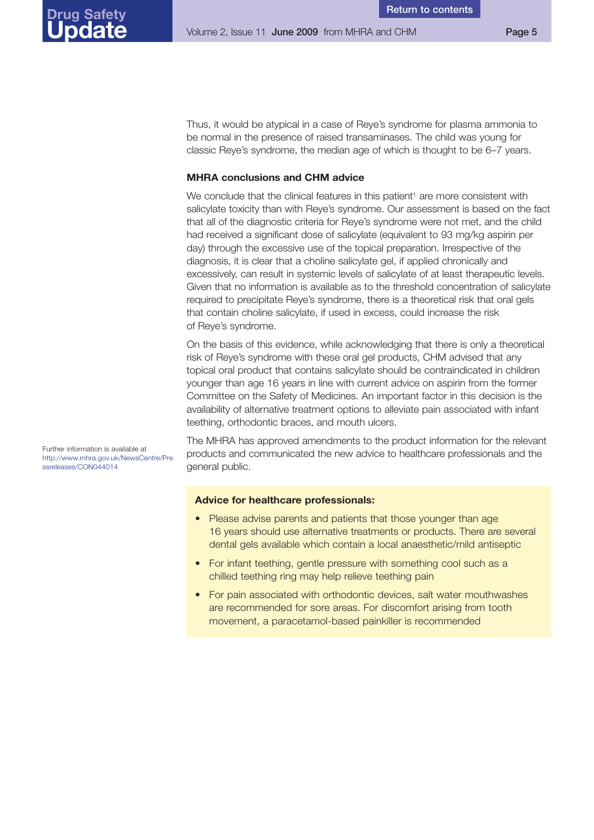Thus, it would be atypical in a case of Reye's syndrome for plasma ammonia to be normal in the presence of raised transaminases. The child was young for classic Reye's syndrome, the median age of which is thought to be 6–7 years.

### **MHRA conclusions and CHM advice**

We conclude that the clinical features in this patient<sup>1</sup> are more consistent with salicylate toxicity than with Reye's syndrome. Our assessment is based on the fact that all of the diagnostic criteria for Reye's syndrome were not met, and the child had received a significant dose of salicylate (equivalent to 93 mg/kg aspirin per day) through the excessive use of the topical preparation. Irrespective of the diagnosis, it is clear that a choline salicylate gel, if applied chronically and excessively, can result in systemic levels of salicylate of at least therapeutic levels. Given that no information is available as to the threshold concentration of salicylate required to precipitate Reye's syndrome, there is a theoretical risk that oral gels that contain choline salicylate, if used in excess, could increase the risk of Reye's syndrome.

On the basis of this evidence, while acknowledging that there is only a theoretical risk of Reye's syndrome with these oral gel products, CHM advised that any topical oral product that contains salicylate should be contraindicated in children younger than age 16 years in line with current advice on aspirin from the former Committee on the Safety of Medicines. An important factor in this decision is the availability of alternative treatment options to alleviate pain associated with infant teething, orthodontic braces, and mouth ulcers.

Further information is available at [http://www.mhra.gov.uk/NewsCentre/Pre](http://www.mhra.gov.uk/NewsCentre/Pressreleases/CON044014) ssreleases/CON044014

The MHRA has approved amendments to the product information for the relevant products and communicated the new advice to healthcare professionals and the general public.

### **Advice for healthcare professionals:**

- Please advise parents and patients that those younger than age 16 years should use alternative treatments or products. There are several dental gels available which contain a local anaesthetic/mild antiseptic
- For infant teething, gentle pressure with something cool such as a chilled teething ring may help relieve teething pain
- For pain associated with orthodontic devices, salt water mouthwashes are recommended for sore areas. For discomfort arising from tooth movement, a paracetamol-based painkiller is recommended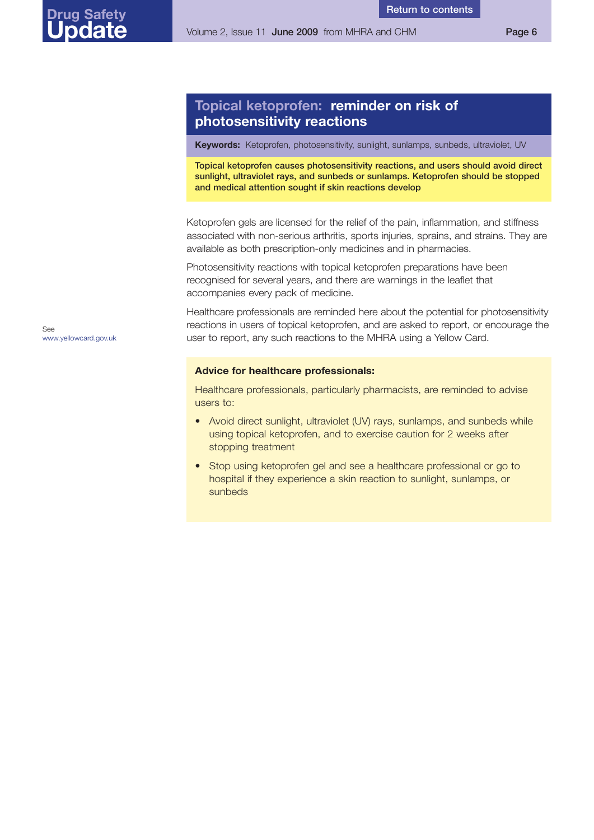### <span id="page-5-0"></span>**Topical ketoprofen: reminder on risk of photosensitivity reactions**

**Keywords:** Ketoprofen, photosensitivity, sunlight, sunlamps, sunbeds, ultraviolet, UV

**Topical ketoprofen causes photosensitivity reactions, and users should avoid direct sunlight, ultraviolet rays, and sunbeds or sunlamps. Ketoprofen should be stopped and medical attention sought if skin reactions develop**

**Return to [contents](#page-0-0)**

Ketoprofen gels are licensed for the relief of the pain, inflammation, and stiffness associated with non-serious arthritis, sports injuries, sprains, and strains. They are available as both prescription-only medicines and in pharmacies.

Photosensitivity reactions with topical ketoprofen preparations have been recognised for several years, and there are warnings in the leaflet that accompanies every pack of medicine.

Healthcare professionals are reminded here about the potential for photosensitivity reactions in users of topical ketoprofen, and are asked to report, or encourage the user to report, any such reactions to the MHRA using a Yellow Card.

### **Advice for healthcare professionals:**

Healthcare professionals, particularly pharmacists, are reminded to advise users to:

- Avoid direct sunlight, ultraviolet (UV) rays, sunlamps, and sunbeds while using topical ketoprofen, and to exercise caution for 2 weeks after stopping treatment
- Stop using ketoprofen gel and see a healthcare professional or go to hospital if they experience a skin reaction to sunlight, sunlamps, or sunbeds

See <www.yellowcard.gov.uk>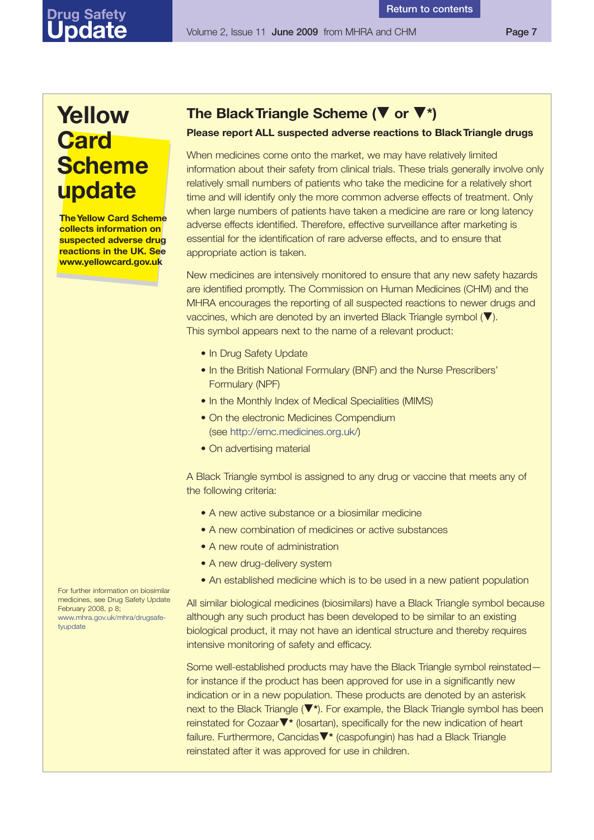## **Yellow Card Scheme update**

<span id="page-6-0"></span>**Drug Safety Update**

> **The Yellow Card Scheme collects information on suspected adverse drug reactions in the UK. See www.yellowcard.gov.uk**

### **The BlackTriangle Scheme (**▼ **or** ▼**\*)**

### **Please report ALL suspected adverse reactions to BlackTriangle drugs**

When medicines come onto the market, we may have relatively limited information about their safety from clinical trials. These trials generally involve only relatively small numbers of patients who take the medicine for a relatively short time and will identify only the more common adverse effects of treatment. Only when large numbers of patients have taken a medicine are rare or long latency adverse effects identified. Therefore, effective surveillance after marketing is essential for the identification of rare adverse effects, and to ensure that appropriate action is taken.

New medicines are intensively monitored to ensure that any new safety hazards are identified promptly. The Commission on Human Medicines (CHM) and the MHRA encourages the reporting of all suspected reactions to newer drugs and vaccines, which are denoted by an inverted Black Triangle symbol (▼). This symbol appears next to the name of a relevant product:

- In Drug Safety Update
- In the British National Formulary (BNF) and the Nurse Prescribers' Formulary (NPF)
- In the Monthly Index of Medical Specialities (MIMS)
- On the electronic Medicines Compendium (see [http://emc.medicines.org.uk/\)](http://emc.medicines.org.uk/)
- On advertising material

A Black Triangle symbol is assigned to any drug or vaccine that meets any of the following criteria:

- A new active substance or a biosimilar medicine
- A new combination of medicines or active substances
- A new route of administration
- A new drug-delivery system
- An established medicine which is to be used in a new patient population

All similar biological medicines (biosimilars) have a Black Triangle symbol because although any such product has been developed to be similar to an existing biological product, it may not have an identical structure and thereby requires intensive monitoring of safety and efficacy.

Some well-established products may have the Black Triangle symbol reinstated for instance if the product has been approved for use in a significantly new indication or in a new population. These products are denoted by an asterisk next to the Black Triangle (▼**\***). For example, the Black Triangle symbol has been reinstated for Cozaar▼**\*** (losartan), specifically for the new indication of heart failure. Furthermore, Cancidas▼**\*** (caspofungin) has had a Black Triangle reinstated after it was approved for use in children.

For further information on biosimilar medicines, see Drug Safety Update February  $2008, p.8$ ; [www.mhra.gov.uk/mhra/drugsafe](www.mhra.gov.uk/mhra/drugsafetyupdate)tyupdate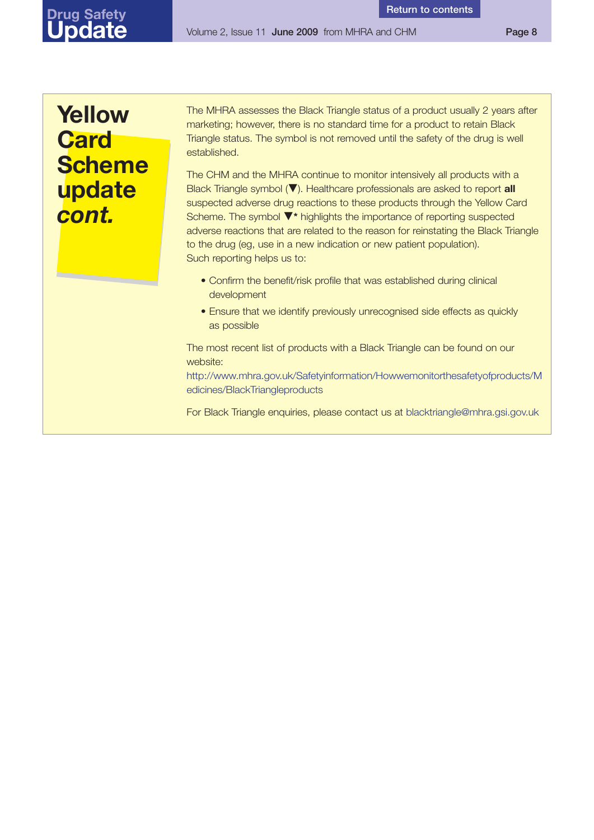Volume 2, Issue 11 **June 2009** from MHRA and CHM **Page 8**

## **Yellow Card Scheme update** *cont.*

The MHRA assesses the Black Triangle status of a product usually 2 years after marketing; however, there is no standard time for a product to retain Black Triangle status. The symbol is not removed until the safety of the drug is well established.

The CHM and the MHRA continue to monitor intensively all products with a Black Triangle symbol (▼). Healthcare professionals are asked to report **all** suspected adverse drug reactions to these products through the Yellow Card Scheme. The symbol ▼**\*** highlights the importance of reporting suspected adverse reactions that are related to the reason for reinstating the Black Triangle to the drug (eg, use in a new indication or new patient population). Such reporting helps us to:

- Confirm the benefit/risk profile that was established during clinical development
- Ensure that we identify previously unrecognised side effects as quickly as possible

The most recent list of products with a Black Triangle can be found on our website:

[http://www.mhra.gov.uk/Safetyinformation/Howwemonitorthesafetyofproducts/M](http://www.mhra.gov.uk/Safetyinformation/Howwemonitorthesafetyofproducts/Medicines/BlackTriangleproducts) edicines/BlackTriangleproducts

For Black Triangle enquiries, please contact us at blacktriangle@mhra.gsi.gov.uk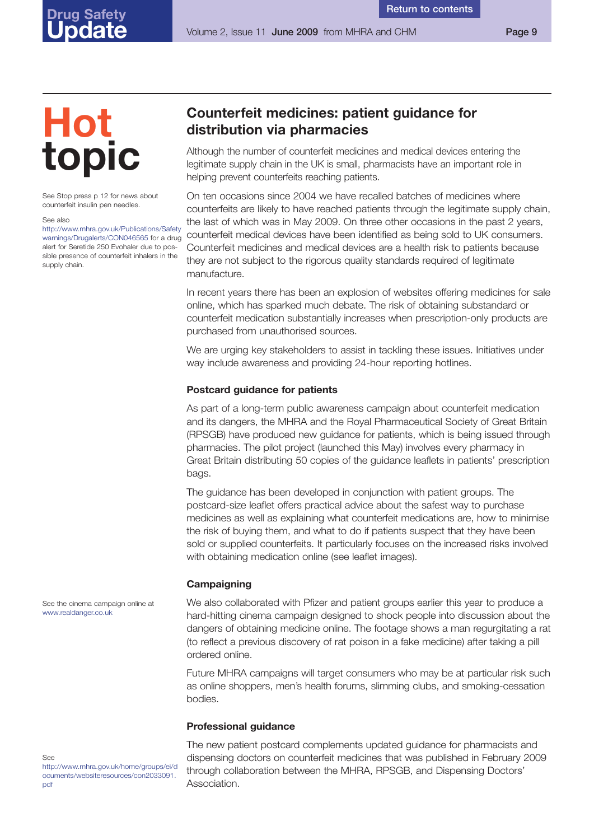## **Hot topic**

<span id="page-8-0"></span>**Drug Safety Update**

See Stop press p 12 for news about counterfeit insulin pen needles.

See also

[http://www.mhra.gov.uk/Publications/Safety](http://www.mhra.gov.uk/Publications/Safetywarnings/Drugalerts/CON046565) warnings/Drugalerts/CON046565 for a drug alert for Seretide 250 Evohaler due to possible presence of counterfeit inhalers in the supply chain.

### **Counterfeit medicines: patient guidance for distribution via pharmacies**

Although the number of counterfeit medicines and medical devices entering the legitimate supply chain in the UK is small, pharmacists have an important role in helping prevent counterfeits reaching patients.

On ten occasions since 2004 we have recalled batches of medicines where counterfeits are likely to have reached patients through the legitimate supply chain, the last of which was in May 2009. On three other occasions in the past 2 years, counterfeit medical devices have been identified as being sold to UK consumers. Counterfeit medicines and medical devices are a health risk to patients because they are not subject to the rigorous quality standards required of legitimate manufacture.

In recent years there has been an explosion of websites offering medicines for sale online, which has sparked much debate. The risk of obtaining substandard or counterfeit medication substantially increases when prescription-only products are purchased from unauthorised sources.

We are urging key stakeholders to assist in tackling these issues. Initiatives under way include awareness and providing 24-hour reporting hotlines.

### **Postcard guidance for patients**

As part of a long-term public awareness campaign about counterfeit medication and its dangers, the MHRA and the Royal Pharmaceutical Society of Great Britain (RPSGB) have produced new guidance for patients, which is being issued through pharmacies. The pilot project (launched this May) involves every pharmacy in Great Britain distributing 50 copies of the guidance leaflets in patients' prescription bags.

The guidance has been developed in conjunction with patient groups. The postcard-size leaflet offers practical advice about the safest way to purchase medicines as well as explaining what counterfeit medications are, how to minimise the risk of buying them, and what to do if patients suspect that they have been sold or supplied counterfeits. It particularly focuses on the increased risks involved with obtaining medication online (see leaflet images).

### **Campaigning**

We also collaborated with Pfizer and patient groups earlier this year to produce a hard-hitting cinema campaign designed to shock people into discussion about the dangers of obtaining medicine online. The footage shows a man regurgitating a rat (to reflect a previous discovery of rat poison in a fake medicine) after taking a pill ordered online.

Future MHRA campaigns will target consumers who may be at particular risk such as online shoppers, men's health forums, slimming clubs, and smoking-cessation bodies.

### **Professional guidance**

The new patient postcard complements updated guidance for pharmacists and dispensing doctors on counterfeit medicines that was published in February 2009 through collaboration between the MHRA, RPSGB, and Dispensing Doctors' Association.

See the cinema campaign online at <www.realdanger.co.uk>

### See

[http://www.mhra.gov.uk/home/groups/ei/d](http://www.mhra.gov.uk/home/groups/ei/documents/websiteresources/con2033091.pdf) ocuments/websiteresources/con2033091. pdf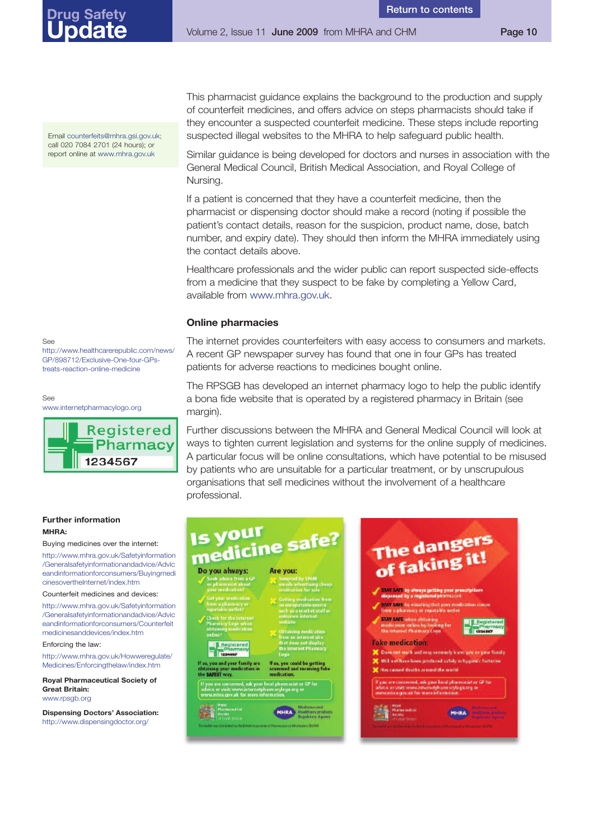Volume 2, Issue 11 **June 2009** from MHRA and CHM **Page 10**

Email counterfeits@mhra.gsi.gov.uk; call 020 7084 2701 (24 hours); or report online at <www.mhra.gov.uk>

See

[http://www.healthcarerepublic.com/news/](http://www.healthcarerepublic.com/news/GP/898712/Exclusive-One-four-GPstreats-reaction-online-medicine) GP/898712/Exclusive-One-four-GPstreats-reaction-online-medicine

See





### **Further information MHRA:**

Buying medicines over the internet:

http://www.mhra.gov.uk/Safetyinformation /Generalsafetyinformationandadvice/Advic [eandinformationforconsumers/Buyingmedi](http://www.mhra.gov.uk/Safetyinformation/Generalsafetyinformationandadvice/Adviceandinformationforconsumers/BuyingmedicinesovertheInternet/index.htm) cinesovertheInternet/index.htm

Counterfeit medicines and devices:

[http://www.mhra.gov.uk/Safetyinformation](http://www.mhra.gov.uk/Safetyinformation/Generalsafetyinformationandadvice/Adviceandinformationforconsumers/Counterfeitmedicinesanddevices/index.htm) /Generalsafetyinformationandadvice/Advic eandinformationforconsumers/Counterfeit medicinesanddevices/index.htm

Enforcing the law:

[http://www.mhra.gov.uk/Howweregulate/](http://www.mhra.gov.uk/Howweregulate/Medicines/Enforcingthelaw/index.htm) Medicines/Enforcingthelaw/index.htm

**Royal Pharmaceutical Society of Great Britain:** <www.rpsgb.org>

**Dispensing Doctors' Association:** <http://www.dispensingdoctor.org/>

This pharmacist guidance explains the background to the production and supply of counterfeit medicines, and offers advice on steps pharmacists should take if they encounter a suspected counterfeit medicine. These steps include reporting suspected illegal websites to the MHRA to help safeguard public health.

Similar guidance is being developed for doctors and nurses in association with the General Medical Council, British Medical Association, and Royal College of Nursing.

If a patient is concerned that they have a counterfeit medicine, then the pharmacist or dispensing doctor should make a record (noting if possible the patient's contact details, reason for the suspicion, product name, dose, batch number, and expiry date). They should then inform the MHRA immediately using the contact details above.

Healthcare professionals and the wider public can report suspected side-effects from a medicine that they suspect to be fake by completing a Yellow Card, available from [www.mhra.gov.uk.](www.mhra.gov.uk)

### **Online pharmacies**

The internet provides counterfeiters with easy access to consumers and markets. A recent GP newspaper survey has found that one in four GPs has treated patients for adverse reactions to medicines bought online.

The RPSGB has developed an internet pharmacy logo to help the public identify a bona fide website that is operated by a registered pharmacy in Britain (see margin).

Further discussions between the MHRA and General Medical Council will look at ways to tighten current legislation and systems for the online supply of medicines. A particular focus will be online consultations, which have potential to be misused by patients who are unsuitable for a particular treatment, or by unscrupulous organisations that sell medicines without the involvement of a healthcare professional.

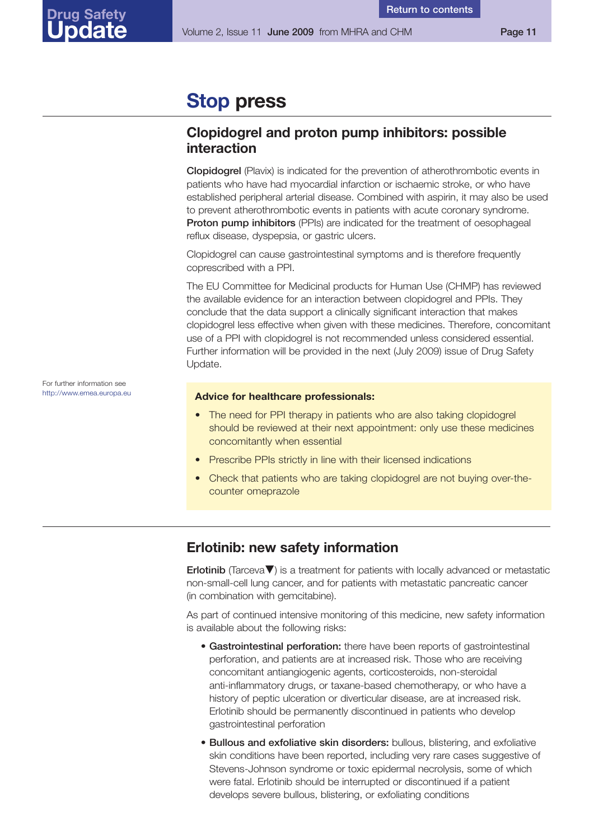## <span id="page-10-0"></span>**Stop press**

### **Clopidogrel and proton pump inhibitors: possible interaction**

**Clopidogrel** (Plavix) is indicated for the prevention of atherothrombotic events in patients who have had myocardial infarction or ischaemic stroke, or who have established peripheral arterial disease. Combined with aspirin, it may also be used to prevent atherothrombotic events in patients with acute coronary syndrome. **Proton pump inhibitors** (PPIs) are indicated for the treatment of oesophageal reflux disease, dyspepsia, or gastric ulcers.

Clopidogrel can cause gastrointestinal symptoms and is therefore frequently coprescribed with a PPI.

The EU Committee for Medicinal products for Human Use (CHMP) has reviewed the available evidence for an interaction between clopidogrel and PPIs. They conclude that the data support a clinically significant interaction that makes clopidogrel less effective when given with these medicines. Therefore, concomitant use of a PPI with clopidogrel is not recommended unless considered essential. Further information will be provided in the next (July 2009) issue of Drug Safety Update.

### **Advice for healthcare professionals:**

- The need for PPI therapy in patients who are also taking clopidogrel should be reviewed at their next appointment: only use these medicines concomitantly when essential
- Prescribe PPIs strictly in line with their licensed indications
- Check that patients who are taking clopidogrel are not buying over-thecounter omeprazole

### **Erlotinib: new safety information**

**Erlotinib** (Tarceva▼) is a treatment for patients with locally advanced or metastatic non-small-cell lung cancer, and for patients with metastatic pancreatic cancer (in combination with gemcitabine).

As part of continued intensive monitoring of this medicine, new safety information is available about the following risks:

- **Gastrointestinal perforation:** there have been reports of gastrointestinal perforation, and patients are at increased risk. Those who are receiving concomitant antiangiogenic agents, corticosteroids, non-steroidal anti-inflammatory drugs, or taxane-based chemotherapy, or who have a history of peptic ulceration or diverticular disease, are at increased risk. Erlotinib should be permanently discontinued in patients who develop gastrointestinal perforation
- **Bullous and exfoliative skin disorders:** bullous, blistering, and exfoliative skin conditions have been reported, including very rare cases suggestive of Stevens-Johnson syndrome or toxic epidermal necrolysis, some of which were fatal. Erlotinib should be interrupted or discontinued if a patient develops severe bullous, blistering, or exfoliating conditions

For further information see <http://www.emea.europa.eu>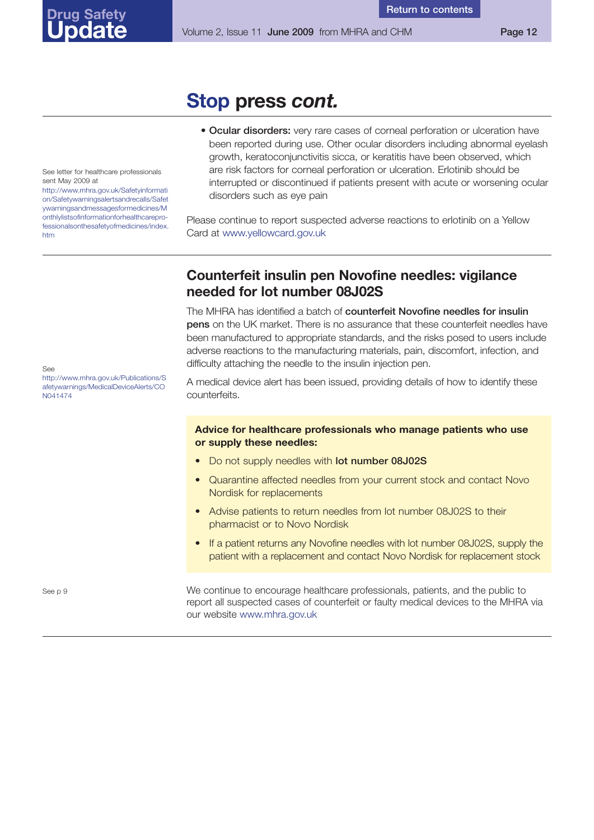## **Stop press** *cont.*

• **Ocular disorders:** very rare cases of corneal perforation or ulceration have been reported during use. Other ocular disorders including abnormal eyelash growth, keratoconjunctivitis sicca, or keratitis have been observed, which are risk factors for corneal perforation or ulceration. Erlotinib should be interrupted or discontinued if patients present with acute or worsening ocular disorders such as eye pain

Please continue to report suspected adverse reactions to erlotinib on a Yellow Card at <www.yellowcard.gov.uk>

### **Counterfeit insulin pen Novofine needles: vigilance needed for lot number 08J02S**

The MHRA has identified a batch of **counterfeit Novofine needles for insulin pens** on the UK market. There is no assurance that these counterfeit needles have been manufactured to appropriate standards, and the risks posed to users include adverse reactions to the manufacturing materials, pain, discomfort, infection, and difficulty attaching the needle to the insulin injection pen.

A medical device alert has been issued, providing details of how to identify these counterfeits.

### **Advice for healthcare professionals who manage patients who use or supply these needles:**

- Do not supply needles with **lot number 08J02S**
- Quarantine affected needles from your current stock and contact Novo Nordisk for replacements
- Advise patients to return needles from lot number 08J02S to their pharmacist or to Novo Nordisk
- If a patient returns any Novofine needles with lot number 08J02S, supply the patient with a replacement and contact Novo Nordisk for replacement stock

We continue to encourage healthcare professionals, patients, and the public to report all suspected cases of counterfeit or faulty medical devices to the MHRA via our website <www.mhra.gov.uk>

See letter for healthcare professionals sent May 2009 at

<span id="page-11-0"></span>**Drug Safety Update**

http://www.mhra.gov.uk/Safetyinformati on/Safetywarningsalertsandrecalls/Safet ywarningsandmessagesformedicines/M onthlylistsofinformationforhealthcarepro[fessionalsonthesafetyofmedicines/index.](http://www.mhra.gov.uk/Safetyinformation/Safetywarningsalertsandrecalls/Safetywarningsandmessagesformedicines/Monthlylistsofinformationforhealthcareprofessionalsonthesafetyofmedicines/index.htm) htm

See

[http://www.mhra.gov.uk/Publications/S](http://www.mhra.gov.uk/Publications/Safetywarnings/MedicalDeviceAlerts/CON041474) afetywarnings/MedicalDeviceAlerts/CO N041474

See p 9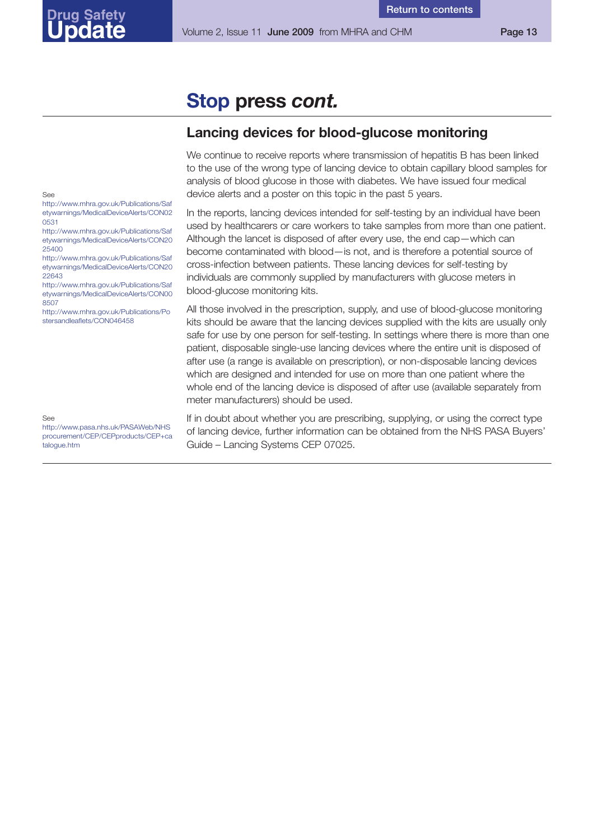**Return to [contents](#page-0-0)**

## **Stop press** *cont.*

### **Lancing devices for blood-glucose monitoring**

We continue to receive reports where transmission of hepatitis B has been linked to the use of the wrong type of lancing device to obtain capillary blood samples for analysis of blood glucose in those with diabetes. We have issued four medical device alerts and a poster on this topic in the past 5 years.

In the reports, lancing devices intended for self-testing by an individual have been used by healthcarers or care workers to take samples from more than one patient. Although the lancet is disposed of after every use, the end cap—which can become contaminated with blood—is not, and is therefore a potential source of cross-infection between patients. These lancing devices for self-testing by individuals are commonly supplied by manufacturers with glucose meters in blood-glucose monitoring kits.

All those involved in the prescription, supply, and use of blood-glucose monitoring kits should be aware that the lancing devices supplied with the kits are usually only safe for use by one person for self-testing. In settings where there is more than one patient, disposable single-use lancing devices where the entire unit is disposed of after use (a range is available on prescription), or non-disposable lancing devices which are designed and intended for use on more than one patient where the whole end of the lancing device is disposed of after use (available separately from meter manufacturers) should be used.

If in doubt about whether you are prescribing, supplying, or using the correct type of lancing device, further information can be obtained from the NHS PASA Buyers' Guide – Lancing Systems CEP 07025.

<span id="page-12-0"></span>See

http://www.mhra.gov.uk/Publications/Saf [etywarnings/MedicalDeviceAlerts/CON02](http://www.mhra.gov.uk/Publications/Safetywarnings/MedicalDeviceAlerts/CON020531) 0531

http://www.mhra.gov.uk/Publications/Saf [etywarnings/MedicalDeviceAlerts/CON20](http://www.mhra.gov.uk/Publications/Safetywarnings/MedicalDeviceAlerts/CON2025400) 25400

http://www.mhra.gov.uk/Publications/Saf [etywarnings/MedicalDeviceAlerts/CON20](http://www.mhra.gov.uk/Publications/Safetywarnings/MedicalDeviceAlerts/CON2022643) 22643

http://www.mhra.gov.uk/Publications/Saf [etywarnings/MedicalDeviceAlerts/CON00](http://www.mhra.gov.uk/Publications/Safetywarnings/MedicalDeviceAlerts/CON008507) 8507

[http://www.mhra.gov.uk/Publications/Po](http://www.mhra.gov.uk/Publications/Postersandleaflets/CON046458) stersandleaflets/CON046458

See

http://www.pasa.nhs.uk/PASAWeb/NHS [procurement/CEP/CEPproducts/CEP+ca](http://www.pasa.nhs.uk/PASAWeb/NHSprocurement/CEP/CEPproducts/CEP+catalogue.htm) talogue.htm